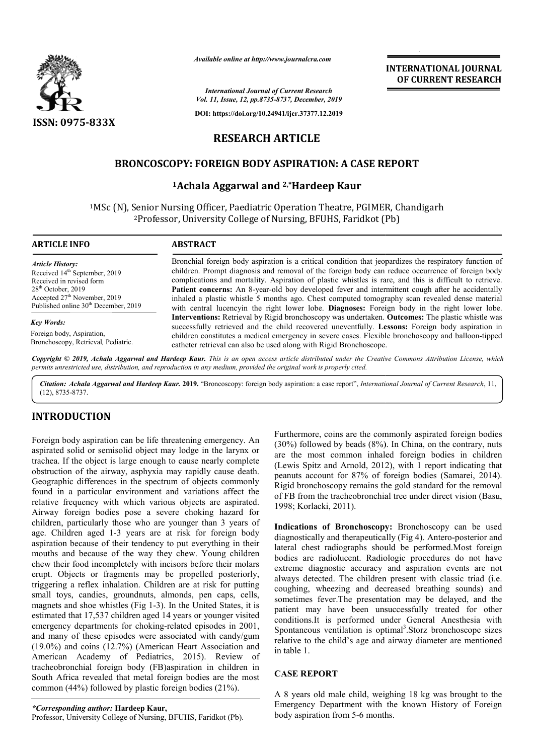

*Available online at http://www.journalcra.com*

*International Journal of Current Research Vol. 11, Issue, 12, pp.8735-8737, December, 2019*

**DOI: https://doi.org/10.24941/ijcr.37377.12.2019**

# **RESEARCH ARTICLE**

# **BRONCOSCOPY: FOREIGN BODY ASPIRATION: A CASE REPORT BODY ASPIRATION:**

## **1Achala Aggarwal and Achala 2,\*Hardeep Kaur**

<sup>1</sup>MSc (N), Senior Nursing Officer, Paediatric Operation Theatre, PGIMER, Chandigarh<br><sup>2</sup>Professor, University College of Nursing, BFUHS, Faridkot (Pb) Senior Nursing Officer, Paediatric Operation Theatre, PGIMER, C<br><sup>2</sup>Professor, University College of Nursing, BFUHS, Faridkot (Pb)

#### **ARTICLE INFO ABSTRACT**

*Article History:* Received 14<sup>th</sup> September, 2019 Received in revised form 28th October, 2019 Accepted 27<sup>th</sup> November, 2019 Published online 30<sup>th</sup> December, 2019

#### *Key Words:*

Foreign body, Aspiration, Bronchoscopy, Retrieval*,* Pediatric.

Bronchial foreign body aspiration is a critical condition that jeopardizes the respiratory function of children. Prompt diagnosis and removal of the foreign body can reduce occurrence of foreign body complications and mortality. Aspiration of plastic whistles is rare, and this is difficult to retrieve. Patient concerns: An 8-year-old boy developed fever and intermittent cough after he accidentally inhaled a plastic whistle 5 months ago. Chest computed tomography scan revealed dense material with central lucencyin the right lower lobe. **Diagnoses:** Foreign body in the right lower lobe. Interventions: Retrieval by Rigid bronchoscopy was undertaken. successfully retrieved and the child recovered uneventfully. **Lessons:** Foreign body aspiration in children constitutes a medical emergency in severe cases. Flexible bronchoscopy and balloon-tipped catheter retrieval can also be used along with Rigid Bronchoscope. catheter Bronchial foreign body aspiration is a critical condition that jeopardizes the respiratory function of children. Prompt diagnosis and removal of the foreign body can reduce occurrence of foreign body complications and mort

Copyright © 2019, Achala Aggarwal and Hardeep Kaur. This is an open access article distributed under the Creative Commons Attribution License, which permits unrestricted use, distribution, and reproduction in any medium, provided the original work is properly cited.

*Citation: Achala Aggarwal and Hardeep Kaur.* **201 2019.** "Broncoscopy: foreign body aspiration: a case report", *International Journal of Current Research*, 11,(12), 8735-8737.

## **INTRODUCTION**

Foreign body aspiration can be life threatening emergency. An aspirated solid or semisolid object may lodge in the larynx or trachea. If the object is large enough to cause nearly complete obstruction of the airway, asphyxia may rapidly cause death. Geographic differences in the spectrum of objects commonly found in a particular environment and variations affect the relative frequency with which various objects are aspirated. Airway foreign bodies pose a severe choking hazard for children, particularly those who are younger than 3 years of age. Children aged 1-3 years are at risk for foreign body aspiration because of their tendency to put everything in their mouths and because of the way they chew. Young children chew their food incompletely with incisors before their molars erupt. Objects or fragments may be propelled posteriorly, triggering a reflex inhalation. Children are at risk for putting small toys, candies, groundnuts, almonds, pen caps, cells, magnets and shoe whistles (Fig 1-3). In the United States, it is estimated that 17,537 children aged 14 years or younger visited emergency departments for choking-related episodes in 2001, and many of these episodes were associated with candy/gum (19.0%) and coins (12.7%) (American Heart Association and (19.0%) and coins (12.7%) (American Heart Association and<br>American Academy of Pediatrics, 2015). Review of tracheobronchial foreign body (FB)aspiration in children in South Africa revealed that metal foreign bodies are the most common (44%) followed by plastic foreign bodies (21%). reign body (FB)aspiration in childre<br>ed that metal foreign bodies are the 1<br>owed by plastic foreign bodies (21%).<br>or: Hardeep Kaur,<br>College of Nursing, BFUHS, Faridkot (Pb).

Furthermore, coins are the commonly aspirated foreign bodies (30%) followed by beads (8%). In China, on the contrary, nuts  $(30%)$  followed by beads  $(8%)$ . In China, on the contrary, nuts are the most common inhaled foreign bodies in children (Lewis Spitz and Arnold, 2012), with 1 report indicating that peanuts account for 87% of foreign bodies (Samarei, 2014). Rigid bronchoscopy remains the gold standard for the removal Rigid bronchoscopy remains the gold standard for the removal<br>of FB from the tracheobronchial tree under direct vision (Basu, 1998; Korlacki, 2011).

**INTERNATIONAL JOURNAL OF CURRENT RESEARCH**

Indications of Bronchoscopy: Bronchoscopy can be used diagnostically and therapeutically (Fig 4). Antero-posterior and lateral chest radiographs should be performed.Most foreign bodies are radiolucent. Radiologic procedures do not have extreme diagnostic accuracy and aspiration events are not always detected. The children present with classic triad (i.e. coughing, wheezing and decreased breathing sounds) and sometimes fever.The presentation may be delayed, and the patient may have been unsuccessfully treated for other conditions.It is performed under General Anesthesia with Spontaneous ventilation is optimal<sup>3</sup>.Storz bronchoscope sizes in table 1. lateral chest radiographs should be performed.Most foreign<br>bodies are radiolucent. Radiologic procedures do not have<br>extreme diagnostic accuracy and aspiration events are not<br>always detected. The children present with clas **INTERNATIONAL JOURNAL OF CURRENT RESEARCH**<br>
OF CURRENT RESEARCH<br>
OF CURRENT RESEARCH<br>
That jcopardizes the respiratory function of<br>
that jcopardizes the respiratory function of<br>
dody can reduce occurrence of foreign body<br>

## **CASE REPORT**

relative to the child's age and airway diameter are mentioned<br>
in table 1.<br> **CASE REPORT**<br>
A 8 years old male child, weighing 18 kg was brought to the<br>
Emergency Department with the known History of Foreign A 8 years old male child, weighing 18 kg was brought to the Emergency Department with the known History of Foreign body aspiration from 5-6 months.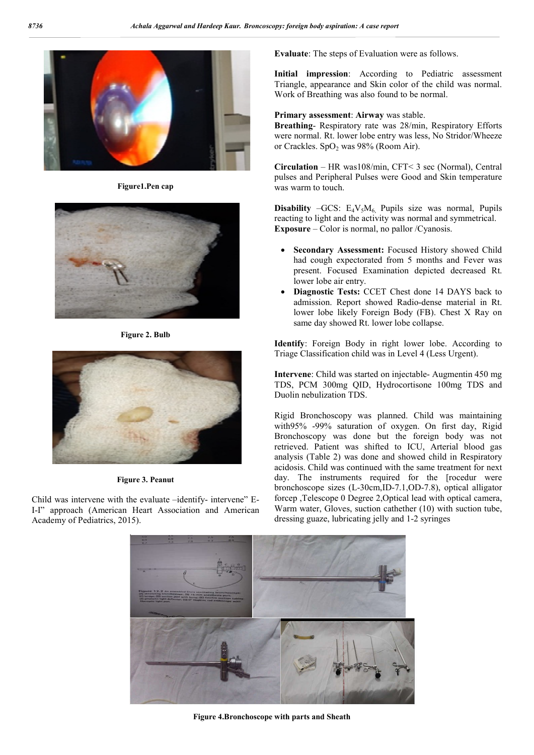

**Figure1.Pen cap**



**Figure 2. Bulb**



**Figure 3. Peanut**

Child was intervene with the evaluate –identify- intervene" E-I-I" approach (American Heart Association and American Academy of Pediatrics, 2015).

**Evaluate**: The steps of Evaluation were as follows.

**Initial impression**: According to Pediatric assessment Triangle, appearance and Skin color of the child was normal. Work of Breathing was also found to be normal.

**Primary assessment**: **Airway** was stable.

**Breathing**- Respiratory rate was 28/min, Respiratory Efforts were normal. Rt. lower lobe entry was less, No Stridor/Wheeze or Crackles. SpO<sub>2</sub> was  $98\%$  (Room Air).

**Circulation** – HR was108/min, CFT< 3 sec (Normal), Central pulses and Peripheral Pulses were Good and Skin temperature was warm to touch.

**Disability** –GCS:  $E_4V_5M_6$  Pupils size was normal, Pupils reacting to light and the activity was normal and symmetrical. **Exposure** – Color is normal, no pallor /Cyanosis.

- **Secondary Assessment:** Focused History showed Child had cough expectorated from 5 months and Fever was present. Focused Examination depicted decreased Rt. lower lobe air entry.
- **Diagnostic Tests:** CCET Chest done 14 DAYS back to admission. Report showed Radio-dense material in Rt. lower lobe likely Foreign Body (FB). Chest X Ray on same day showed Rt. lower lobe collapse.

**Identify**: Foreign Body in right lower lobe. According to Triage Classification child was in Level 4 (Less Urgent).

**Intervene**: Child was started on injectable- Augmentin 450 mg TDS, PCM 300mg QID, Hydrocortisone 100mg TDS and Duolin nebulization TDS.

Rigid Bronchoscopy was planned. Child was maintaining with95% -99% saturation of oxygen. On first day, Rigid Bronchoscopy was done but the foreign body was not retrieved. Patient was shifted to ICU, Arterial blood gas analysis (Table 2) was done and showed child in Respiratory acidosis. Child was continued with the same treatment for next day. The instruments required for the [rocedur were bronchoscope sizes (L-30cm,ID-7.1,OD-7.8), optical alligator forcep ,Telescope 0 Degree 2,Optical lead with optical camera, Warm water, Gloves, suction cathether (10) with suction tube, dressing guaze, lubricating jelly and 1-2 syringes



**Figure 4.Bronchoscope with parts and Sheath**